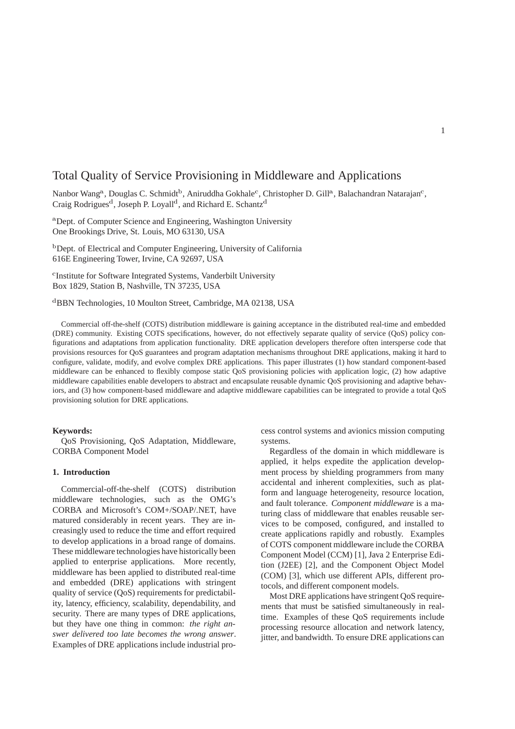# Total Quality of Service Provisioning in Middleware and Applications

Nanbor Wang<sup>a</sup>, Douglas C. Schmidt<sup>b</sup>, Aniruddha Gokhale<sup>c</sup>, Christopher D. Gill<sup>a</sup>, Balachandran Natarajan<sup>c</sup>, Craig Rodrigues<sup>d</sup>, Joseph P. Loyall<sup>d</sup>, and Richard E. Schantz<sup>d</sup>

<sup>a</sup>Dept. of Computer Science and Engineering, Washington University One Brookings Drive, St. Louis, MO 63130, USA

<sup>b</sup>Dept. of Electrical and Computer Engineering, University of California 616E Engineering Tower, Irvine, CA 92697, USA

<sup>c</sup>Institute for Software Integrated Systems, Vanderbilt University Box 1829, Station B, Nashville, TN 37235, USA

BBN Technologies, 10 Moulton Street, Cambridge, MA 02138, USA

Commercial off-the-shelf (COTS) distribution middleware is gaining acceptance in the distributed real-time and embedded (DRE) community. Existing COTS specifications, however, do not effectively separate quality of service (QoS) policy configurations and adaptations from application functionality. DRE application developers therefore often intersperse code that provisions resources for QoS guarantees and program adaptation mechanisms throughout DRE applications, making it hard to configure, validate, modify, and evolve complex DRE applications. This paper illustrates (1) how standard component-based middleware can be enhanced to flexibly compose static QoS provisioning policies with application logic, (2) how adaptive middleware capabilities enable developers to abstract and encapsulate reusable dynamic QoS provisioning and adaptive behaviors, and (3) how component-based middleware and adaptive middleware capabilities can be integrated to provide a total QoS provisioning solution for DRE applications.

# **Keywords:**

QoS Provisioning, QoS Adaptation, Middleware, CORBA Component Model

# **1. Introduction**

Commercial-off-the-shelf (COTS) distribution middleware technologies, such as the OMG's CORBA and Microsoft's COM+/SOAP/.NET, have matured considerably in recent years. They are increasingly used to reduce the time and effort required to develop applications in a broad range of domains. These middleware technologies have historically been applied to enterprise applications. More recently, middleware has been applied to distributed real-time and embedded (DRE) applications with stringent quality of service (QoS) requirements for predictability, latency, efficiency, scalability, dependability, and security. There are many types of DRE applications, but they have one thing in common: *the right answer delivered too late becomes the wrong answer*. Examples of DRE applications include industrial process control systems and avionics mission computing systems.

Regardless of the domain in which middleware is applied, it helps expedite the application development process by shielding programmers from many accidental and inherent complexities, such as platform and language heterogeneity, resource location, and fault tolerance. *Component middleware* is a maturing class of middleware that enables reusable services to be composed, configured, and installed to create applications rapidly and robustly. Examples of COTS component middleware include the CORBA Component Model (CCM) [1], Java 2 Enterprise Edition (J2EE) [2], and the Component Object Model (COM) [3], which use different APIs, different protocols, and different component models.

Most DRE applications have stringent QoS requirements that must be satisfied simultaneously in realtime. Examples of these QoS requirements include processing resource allocation and network latency, jitter, and bandwidth. To ensure DRE applications can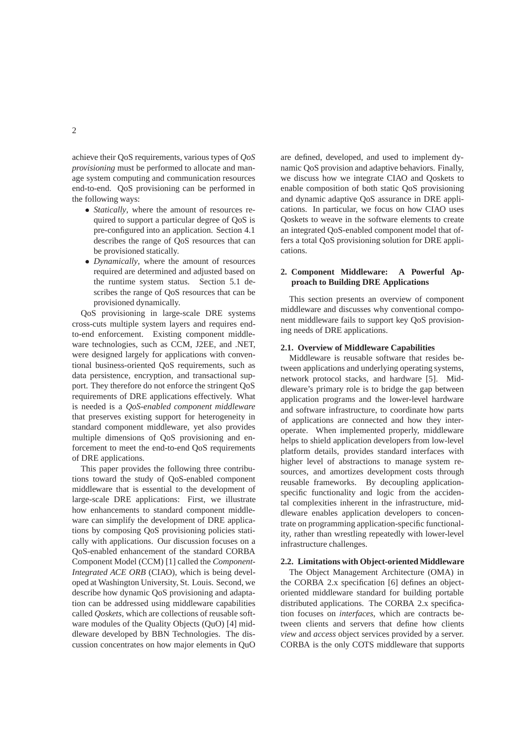achieve their QoS requirements, various types of *QoS provisioning* must be performed to allocate and manage system computing and communication resources end-to-end. QoS provisioning can be performed in the following ways:

- *Statically*, where the amount of resources required to support a particular degree of QoS is pre-configured into an application. Section 4.1 describes the range of QoS resources that can be provisioned statically.
- *Dynamically*, where the amount of resources required are determined and adjusted based on the runtime system status. Section 5.1 describes the range of QoS resources that can be provisioned dynamically.

QoS provisioning in large-scale DRE systems cross-cuts multiple system layers and requires endto-end enforcement. Existing component middleware technologies, such as CCM, J2EE, and .NET, were designed largely for applications with conventional business-oriented QoS requirements, such as data persistence, encryption, and transactional support. They therefore do not enforce the stringent QoS requirements of DRE applications effectively. What is needed is a *QoS-enabled component middleware* that preserves existing support for heterogeneity in standard component middleware, yet also provides multiple dimensions of QoS provisioning and enforcement to meet the end-to-end QoS requirements of DRE applications.

This paper provides the following three contributions toward the study of QoS-enabled component middleware that is essential to the development of large-scale DRE applications: First, we illustrate how enhancements to standard component middleware can simplify the development of DRE applications by composing QoS provisioning policies statically with applications. Our discussion focuses on a QoS-enabled enhancement of the standard CORBA Component Model (CCM) [1] called the *Component-Integrated ACE ORB* (CIAO), which is being developed at Washington University, St. Louis. Second, we describe how dynamic QoS provisioning and adaptation can be addressed using middleware capabilities called *Qoskets*, which are collections of reusable software modules of the Quality Objects (QuO) [4] middleware developed by BBN Technologies. The discussion concentrates on how major elements in QuO

are defined, developed, and used to implement dynamic QoS provision and adaptive behaviors. Finally, we discuss how we integrate CIAO and Qoskets to enable composition of both static QoS provisioning and dynamic adaptive QoS assurance in DRE applications. In particular, we focus on how CIAO uses Qoskets to weave in the software elements to create an integrated QoS-enabled component model that offers a total QoS provisioning solution for DRE applications.

# **2. Component Middleware: A Powerful Approach to Building DRE Applications**

This section presents an overview of component middleware and discusses why conventional component middleware fails to support key QoS provisioning needs of DRE applications.

## **2.1. Overview of Middleware Capabilities**

Middleware is reusable software that resides between applications and underlying operating systems, network protocol stacks, and hardware [5]. Middleware's primary role is to bridge the gap between application programs and the lower-level hardware and software infrastructure, to coordinate how parts of applications are connected and how they interoperate. When implemented properly, middleware helps to shield application developers from low-level platform details, provides standard interfaces with higher level of abstractions to manage system resources, and amortizes development costs through reusable frameworks. By decoupling applicationspecific functionality and logic from the accidental complexities inherent in the infrastructure, middleware enables application developers to concentrate on programming application-specific functionality, rather than wrestling repeatedly with lower-level infrastructure challenges.

### **2.2. Limitations with Object-oriented Middleware**

The Object Management Architecture (OMA) in the CORBA 2.x specification [6] defines an objectoriented middleware standard for building portable distributed applications. The CORBA 2.x specification focuses on *interfaces*, which are contracts between clients and servers that define how clients *view* and *access* object services provided by a server. CORBA is the only COTS middleware that supports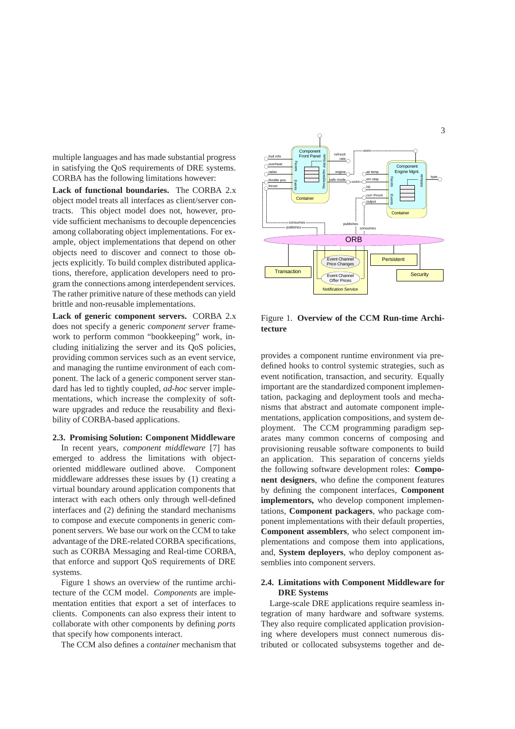multiple languages and has made substantial progress in satisfying the QoS requirements of DRE systems. CORBA has the following limitations however:

**Lack of functional boundaries.** The CORBA 2.x object model treats all interfaces as client/server contracts. This object model does not, however, provide sufficient mechanisms to decouple depencencies among collaborating object implementations. For example, object implementations that depend on other objects need to discover and connect to those objects explicitly. To build complex distributed applications, therefore, application developers need to program the connections among interdependent services. The rather primitive nature of these methods can yield brittle and non-reusable implementations.

**Lack of generic component servers.** CORBA 2.x does not specify a generic *component server* framework to perform common "bookkeeping" work, including initializing the server and its QoS policies, providing common services such as an event service, and managing the runtime environment of each component. The lack of a generic component server standard has led to tightly coupled, *ad-hoc* server implementations, which increase the complexity of software upgrades and reduce the reusability and flexibility of CORBA-based applications.

#### **2.3. Promising Solution: Component Middleware**

In recent years, *component middleware* [7] has emerged to address the limitations with objectoriented middleware outlined above. Component middleware addresses these issues by (1) creating a virtual boundary around application components that interact with each others only through well-defined interfaces and (2) defining the standard mechanisms to compose and execute components in generic component servers. We base our work on the CCM to take advantage of the DRE-related CORBA specifications, such as CORBA Messaging and Real-time CORBA, that enforce and support QoS requirements of DRE systems.

Figure 1 shows an overview of the runtime architecture of the CCM model. *Components* are implementation entities that export a set of interfaces to clients. Components can also express their intent to collaborate with other components by defining *ports* that specify how components interact.

The CCM also defines a *container* mechanism that



Figure 1. **Overview of the CCM Run-time Architecture**

provides a component runtime environment via predefined hooks to control systemic strategies, such as event notification, transaction, and security. Equally important are the standardized component implementation, packaging and deployment tools and mechanisms that abstract and automate component implementations, application compositions, and system deployment. The CCM programming paradigm separates many common concerns of composing and provisioning reusable software components to build an application. This separation of concerns yields the following software development roles: **Component designers**, who define the component features by defining the component interfaces, **Component implementors,** who develop component implementations, **Component packagers**, who package component implementations with their default properties, **Component assemblers**, who select component implementations and compose them into applications, and, **System deployers**, who deploy component assemblies into component servers.

# **2.4. Limitations with Component Middleware for DRE Systems**

Large-scale DRE applications require seamless integration of many hardware and software systems. They also require complicated application provisioning where developers must connect numerous distributed or collocated subsystems together and de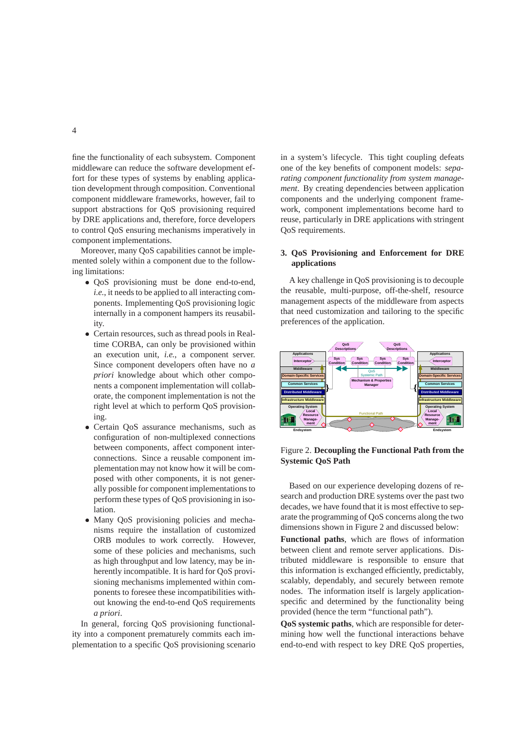fine the functionality of each subsystem. Component middleware can reduce the software development effort for these types of systems by enabling application development through composition. Conventional component middleware frameworks, however, fail to support abstractions for QoS provisioning required by DRE applications and, therefore, force developers to control QoS ensuring mechanisms imperatively in component implementations.

Moreover, many QoS capabilities cannot be implemented solely within a component due to the following limitations:

- QoS provisioning must be done end-to-end, *i.e.*, it needs to be applied to all interacting components. Implementing QoS provisioning logic internally in a component hampers its reusability.
- Certain resources, such as thread pools in Realtime CORBA, can only be provisioned within an execution unit, *i.e.*, a component server. Since component developers often have no *a priori* knowledge about which other components a component implementation will collaborate, the component implementation is not the right level at which to perform QoS provisioning.
- Certain QoS assurance mechanisms, such as configuration of non-multiplexed connections between components, affect component interconnections. Since a reusable component implementation may not know how it will be composed with other components, it is not generally possible for component implementations to perform these types of QoS provisioning in isolation.
- Many QoS provisioning policies and mechanisms require the installation of customized ORB modules to work correctly. However, some of these policies and mechanisms, such as high throughput and low latency, may be inherently incompatible. It is hard for QoS provisioning mechanisms implemented within components to foresee these incompatibilities without knowing the end-to-end QoS requirements *a priori*.

In general, forcing QoS provisioning functionality into a component prematurely commits each implementation to a specific QoS provisioning scenario in a system's lifecycle. This tight coupling defeats one of the key benefits of component models: *separating component functionality from system management*. By creating dependencies between application components and the underlying component framework, component implementations become hard to reuse, particularly in DRE applications with stringent QoS requirements.

# **3. QoS Provisioning and Enforcement for DRE applications**

A key challenge in QoS provisioning is to decouple the reusable, multi-purpose, off-the-shelf, resource management aspects of the middleware from aspects that need customization and tailoring to the specific preferences of the application.



Figure 2. **Decoupling the Functional Path from the Systemic QoS Path**

Based on our experience developing dozens of research and production DRE systems over the past two decades, we have found that it is most effective to separate the programming of QoS concerns along the two dimensions shown in Figure 2 and discussed below:

**Functional paths**, which are flows of information between client and remote server applications. Distributed middleware is responsible to ensure that this information is exchanged efficiently, predictably, scalably, dependably, and securely between remote nodes. The information itself is largely applicationspecific and determined by the functionality being provided (hence the term "functional path").

**QoS systemic paths**, which are responsible for determining how well the functional interactions behave end-to-end with respect to key DRE QoS properties,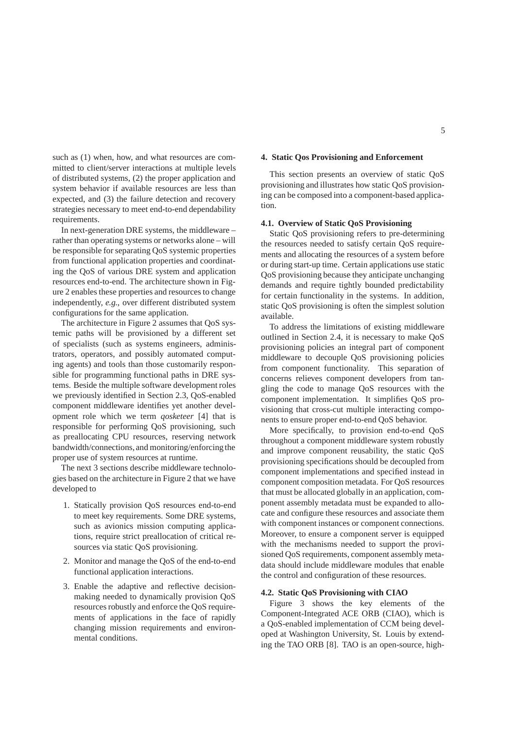such as (1) when, how, and what resources are committed to client/server interactions at multiple levels of distributed systems, (2) the proper application and system behavior if available resources are less than expected, and (3) the failure detection and recovery strategies necessary to meet end-to-end dependability requirements.

In next-generation DRE systems, the middleware – rather than operating systems or networks alone – will be responsible for separating QoS systemic properties from functional application properties and coordinating the QoS of various DRE system and application resources end-to-end. The architecture shown in Figure 2 enables these properties and resources to change independently, *e.g.*, over different distributed system configurations for the same application.

The architecture in Figure 2 assumes that QoS systemic paths will be provisioned by a different set of specialists (such as systems engineers, administrators, operators, and possibly automated computing agents) and tools than those customarily responsible for programming functional paths in DRE systems. Beside the multiple software development roles we previously identified in Section 2.3, QoS-enabled component middleware identifies yet another development role which we term *qosketeer* [4] that is responsible for performing QoS provisioning, such as preallocating CPU resources, reserving network bandwidth/connections, and monitoring/enforcing the proper use of system resources at runtime.

The next 3 sections describe middleware technologies based on the architecture in Figure 2 that we have developed to

- 1. Statically provision QoS resources end-to-end to meet key requirements. Some DRE systems, such as avionics mission computing applications, require strict preallocation of critical resources via static QoS provisioning.
- 2. Monitor and manage the QoS of the end-to-end functional application interactions.
- 3. Enable the adaptive and reflective decisionmaking needed to dynamically provision QoS resources robustly and enforce the QoS requirements of applications in the face of rapidly changing mission requirements and environmental conditions.

#### **4. Static Qos Provisioning and Enforcement**

This section presents an overview of static QoS provisioning and illustrates how static QoS provisioning can be composed into a component-based application.

#### **4.1. Overview of Static QoS Provisioning**

Static QoS provisioning refers to pre-determining the resources needed to satisfy certain QoS requirements and allocating the resources of a system before or during start-up time. Certain applications use static QoS provisioning because they anticipate unchanging demands and require tightly bounded predictability for certain functionality in the systems. In addition, static QoS provisioning is often the simplest solution available.

To address the limitations of existing middleware outlined in Section 2.4, it is necessary to make QoS provisioning policies an integral part of component middleware to decouple QoS provisioning policies from component functionality. This separation of concerns relieves component developers from tangling the code to manage QoS resources with the component implementation. It simplifies QoS provisioning that cross-cut multiple interacting components to ensure proper end-to-end QoS behavior.

More specifically, to provision end-to-end QoS throughout a component middleware system robustly and improve component reusability, the static QoS provisioning specifications should be decoupled from component implementations and specified instead in component composition metadata. For QoS resources that must be allocated globally in an application, component assembly metadata must be expanded to allocate and configure these resources and associate them with component instances or component connections. Moreover, to ensure a component server is equipped with the mechanisms needed to support the provisioned QoS requirements, component assembly metadata should include middleware modules that enable the control and configuration of these resources.

# **4.2. Static QoS Provisioning with CIAO**

Figure 3 shows the key elements of the Component-Integrated ACE ORB (CIAO), which is a QoS-enabled implementation of CCM being developed at Washington University, St. Louis by extending the TAO ORB [8]. TAO is an open-source, high-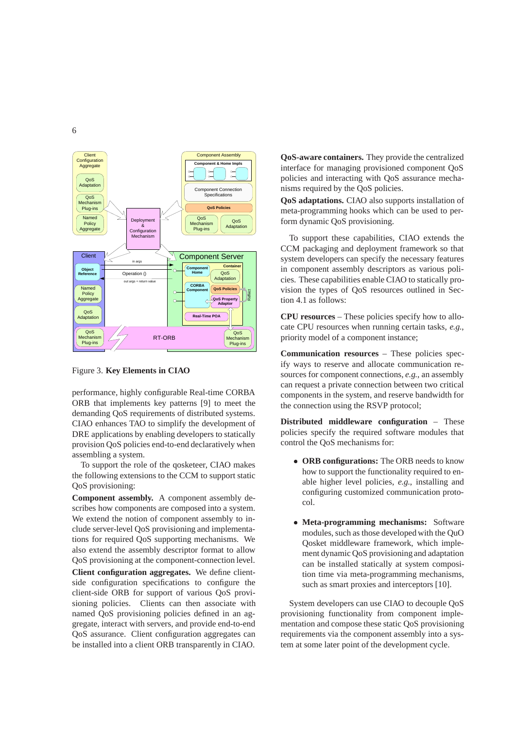

Figure 3. **Key Elements in CIAO**

performance, highly configurable Real-time CORBA ORB that implements key patterns [9] to meet the demanding QoS requirements of distributed systems. CIAO enhances TAO to simplify the development of DRE applications by enabling developers to statically provision QoS policies end-to-end declaratively when assembling a system.

To support the role of the qosketeer, CIAO makes the following extensions to the CCM to support static QoS provisioning:

**Component assembly.** A component assembly describes how components are composed into a system. We extend the notion of component assembly to include server-level QoS provisioning and implementations for required QoS supporting mechanisms. We also extend the assembly descriptor format to allow QoS provisioning at the component-connection level.

**Client configuration aggregates.** We define clientside configuration specifications to configure the client-side ORB for support of various QoS provisioning policies. Clients can then associate with named QoS provisioning policies defined in an aggregate, interact with servers, and provide end-to-end QoS assurance. Client configuration aggregates can be installed into a client ORB transparently in CIAO.

**QoS-aware containers.** They provide the centralized interface for managing provisioned component QoS policies and interacting with QoS assurance mechanisms required by the QoS policies.

**QoS adaptations.** CIAO also supports installation of meta-programming hooks which can be used to perform dynamic QoS provisioning.

To support these capabilities, CIAO extends the CCM packaging and deployment framework so that system developers can specify the necessary features in component assembly descriptors as various policies. These capabilities enable CIAO to statically provision the types of QoS resources outlined in Section 4.1 as follows:

**CPU resources** – These policies specify how to allocate CPU resources when running certain tasks, *e.g.*, priority model of a component instance;

**Communication resources** – These policies specify ways to reserve and allocate communication resources for component connections, *e.g.*, an assembly can request a private connection between two critical components in the system, and reserve bandwidth for the connection using the RSVP protocol;

**Distributed middleware configuration** – These policies specify the required software modules that control the QoS mechanisms for:

- **ORB configurations:** The ORB needs to know how to support the functionality required to enable higher level policies, *e.g.*, installing and configuring customized communication protocol.
- **Meta-programming mechanisms:** Software modules, such as those developed with the QuO Qosket middleware framework, which implement dynamic QoS provisioning and adaptation can be installed statically at system composition time via meta-programming mechanisms, such as smart proxies and interceptors [10].

System developers can use CIAO to decouple QoS provisioning functionality from component implementation and compose these static QoS provisioning requirements via the component assembly into a system at some later point of the development cycle.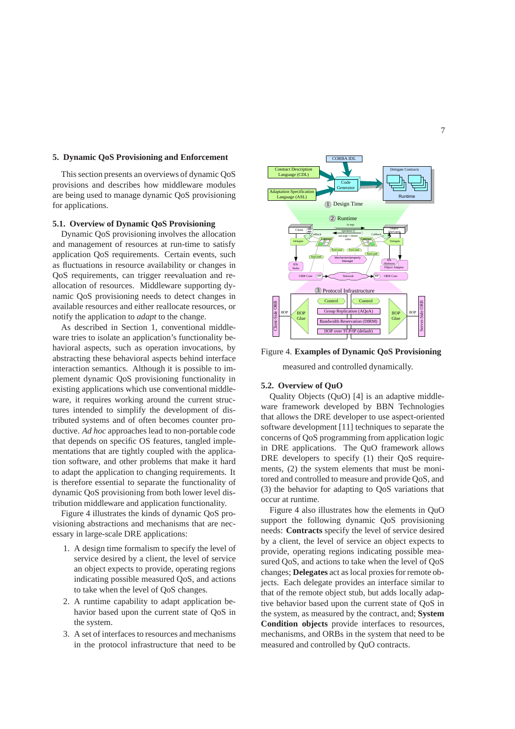#### **5. Dynamic QoS Provisioning and Enforcement**

This section presents an overviews of dynamic QoS provisions and describes how middleware modules are being used to manage dynamic QoS provisioning for applications.

# **5.1. Overview of Dynamic QoS Provisioning**

Dynamic QoS provisioning involves the allocation and management of resources at run-time to satisfy application QoS requirements. Certain events, such as fluctuations in resource availability or changes in QoS requirements, can trigger reevaluation and reallocation of resources. Middleware supporting dynamic QoS provisioning needs to detect changes in available resources and either reallocate resources, or notify the application to *adapt* to the change.

As described in Section 1, conventional middleware tries to isolate an application's functionality behavioral aspects, such as operation invocations, by abstracting these behavioral aspects behind interface interaction semantics. Although it is possible to implement dynamic QoS provisioning functionality in existing applications which use conventional middleware, it requires working around the current structures intended to simplify the development of distributed systems and of often becomes counter productive. *Ad hoc* approaches lead to non-portable code that depends on specific OS features, tangled implementations that are tightly coupled with the application software, and other problems that make it hard to adapt the application to changing requirements. It is therefore essential to separate the functionality of dynamic QoS provisioning from both lower level distribution middleware and application functionality.

Figure 4 illustrates the kinds of dynamic QoS provisioning abstractions and mechanisms that are necessary in large-scale DRE applications:

- 1. A design time formalism to specify the level of service desired by a client, the level of service an object expects to provide, operating regions indicating possible measured QoS, and actions to take when the level of QoS changes.
- 2. A runtime capability to adapt application behavior based upon the current state of QoS in the system.
- 3. A set of interfaces to resources and mechanisms in the protocol infrastructure that need to be



Figure 4. **Examples of Dynamic QoS Provisioning**

measured and controlled dynamically.

#### **5.2. Overview of QuO**

Quality Objects (QuO) [4] is an adaptive middleware framework developed by BBN Technologies that allows the DRE developer to use aspect-oriented software development [11] techniques to separate the concerns of QoS programming from application logic in DRE applications. The QuO framework allows DRE developers to specify (1) their QoS requirements, (2) the system elements that must be monitored and controlled to measure and provide QoS, and (3) the behavior for adapting to QoS variations that occur at runtime.

Figure 4 also illustrates how the elements in QuO support the following dynamic QoS provisioning needs: **Contracts** specify the level of service desired by a client, the level of service an object expects to provide, operating regions indicating possible measured QoS, and actions to take when the level of QoS changes; **Delegates** act as local proxies for remote objects. Each delegate provides an interface similar to that of the remote object stub, but adds locally adaptive behavior based upon the current state of QoS in the system, as measured by the contract, and; **System Condition objects** provide interfaces to resources, mechanisms, and ORBs in the system that need to be measured and controlled by QuO contracts.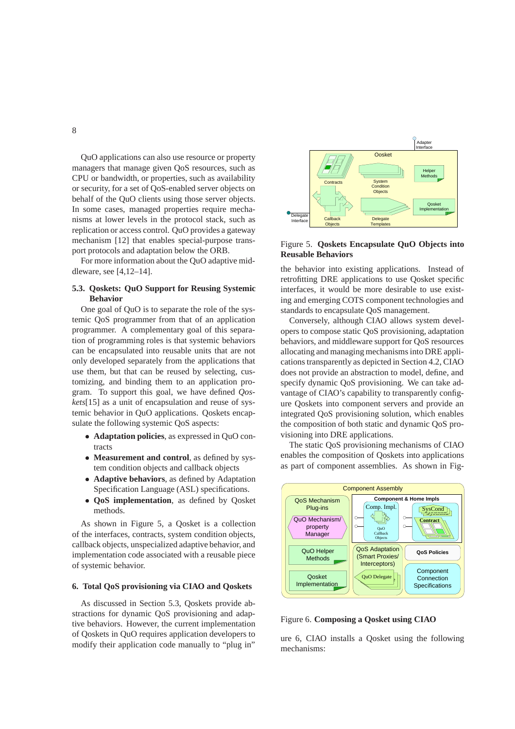QuO applications can also use resource or property managers that manage given QoS resources, such as CPU or bandwidth, or properties, such as availability or security, for a set of QoS-enabled server objects on behalf of the QuO clients using those server objects. In some cases, managed properties require mechanisms at lower levels in the protocol stack, such as replication or access control. QuO provides a gateway mechanism [12] that enables special-purpose transport protocols and adaptation below the ORB.

For more information about the QuO adaptive middleware, see [4,12–14].

# **5.3. Qoskets: QuO Support for Reusing Systemic Behavior**

One goal of QuO is to separate the role of the systemic QoS programmer from that of an application programmer. A complementary goal of this separation of programming roles is that systemic behaviors can be encapsulated into reusable units that are not only developed separately from the applications that use them, but that can be reused by selecting, customizing, and binding them to an application program. To support this goal, we have defined *Qoskets*[15] as a unit of encapsulation and reuse of systemic behavior in QuO applications. Qoskets encapsulate the following systemic QoS aspects:

- **Adaptation policies**, as expressed in QuO contracts
- **Measurement and control**, as defined by system condition objects and callback objects
- **Adaptive behaviors**, as defined by Adaptation Specification Language (ASL) specifications.
- **QoS implementation**, as defined by Qosket methods.

As shown in Figure 5, a Qosket is a collection of the interfaces, contracts, system condition objects, callback objects, unspecialized adaptive behavior, and implementation code associated with a reusable piece of systemic behavior.

#### **6. Total QoS provisioning via CIAO and Qoskets**

As discussed in Section 5.3, Qoskets provide abstractions for dynamic QoS provisioning and adaptive behaviors. However, the current implementation of Qoskets in QuO requires application developers to modify their application code manually to "plug in"



# Figure 5. **Qoskets Encapsulate QuO Objects into Reusable Behaviors**

the behavior into existing applications. Instead of retrofitting DRE applications to use Qosket specific interfaces, it would be more desirable to use existing and emerging COTS component technologies and standards to encapsulate QoS management.

Conversely, although CIAO allows system developers to compose static QoS provisioning, adaptation behaviors, and middleware support for QoS resources allocating and managing mechanisms into DRE applications transparently as depicted in Section 4.2, CIAO does not provide an abstraction to model, define, and specify dynamic QoS provisioning. We can take advantage of CIAO's capability to transparently configure Qoskets into component servers and provide an integrated QoS provisioning solution, which enables the composition of both static and dynamic QoS provisioning into DRE applications.

The static QoS provisioning mechanisms of CIAO enables the composition of Qoskets into applications as part of component assemblies. As shown in Fig-



Figure 6. **Composing a Qosket using CIAO**

ure 6, CIAO installs a Qosket using the following mechanisms: